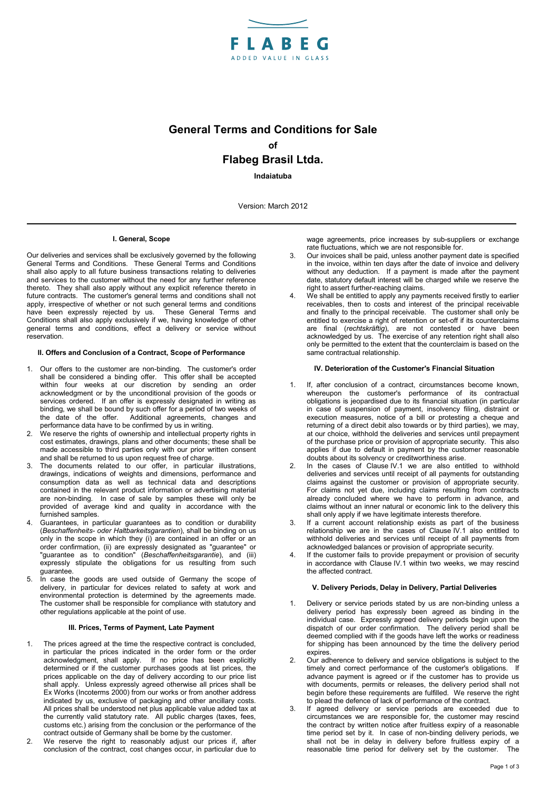

# **General Terms and Conditions for Sale of Flabeg Brasil Ltda.**

**Indaiatuba**

Version: March 2012

### **I. General, Scope**

Our deliveries and services shall be exclusively governed by the following General Terms and Conditions. These General Terms and Conditions shall also apply to all future business transactions relating to deliveries and services to the customer without the need for any further reference thereto. They shall also apply without any explicit reference thereto in future contracts. The customer's general terms and conditions shall not apply, irrespective of whether or not such general terms and conditions have been expressly rejected by us. These General Terms and Conditions shall also apply exclusively if we, having knowledge of other general terms and conditions, effect a delivery or service without reservation.

## **II. Offers and Conclusion of a Contract, Scope of Performance**

- 1. Our offers to the customer are non-binding. The customer's order shall be considered a binding offer. This offer shall be accepted within four weeks at our discretion by sending an order acknowledgment or by the unconditional provision of the goods or services ordered. If an offer is expressly designated in writing as binding, we shall be bound by such offer for a period of two weeks of the date of the offer. Additional agreements, changes and performance data have to be confirmed by us in writing.
- 2. We reserve the rights of ownership and intellectual property rights in cost estimates, drawings, plans and other documents; these shall be made accessible to third parties only with our prior written consent and shall be returned to us upon request free of charge.
- 3. The documents related to our offer, in particular illustrations, drawings, indications of weights and dimensions, performance and consumption data as well as technical data and descriptions contained in the relevant product information or advertising material are non-binding. In case of sale by samples these will only be provided of average kind and quality in accordance with the furnished samples.
- Guarantees, in particular guarantees as to condition or durability (*Beschaffenheits- oder Haltbarkeitsgarantien*), shall be binding on us only in the scope in which they (i) are contained in an offer or an order confirmation, (ii) are expressly designated as "guarantee" or "guarantee as to condition" (*Beschaffenheitsgarantie*), and (iii) expressly stipulate the obligations for us resulting from such guarantee.
- 5. In case the goods are used outside of Germany the scope of delivery, in particular for devices related to safety at work and environmental protection is determined by the agreements made. The customer shall be responsible for compliance with statutory and other regulations applicable at the point of use.

### **III. Prices, Terms of Payment, Late Payment**

- 1. The prices agreed at the time the respective contract is concluded, in particular the prices indicated in the order form or the order acknowledgment, shall apply. If no price has been explicitly determined or if the customer purchases goods at list prices, the prices applicable on the day of delivery according to our price list shall apply. Unless expressly agreed otherwise all prices shall be Ex Works (Incoterms 2000) from our works or from another address indicated by us, exclusive of packaging and other ancillary costs. All prices shall be understood net plus applicable value added tax at the currently valid statutory rate. All public charges (taxes, fees, customs etc.) arising from the conclusion or the performance of the contract outside of Germany shall be borne by the customer.
- 2. We reserve the right to reasonably adjust our prices if, after conclusion of the contract, cost changes occur, in particular due to

wage agreements, price increases by sub-suppliers or exchange rate fluctuations, which we are not responsible for.

- Our invoices shall be paid, unless another payment date is specified in the invoice, within ten days after the date of invoice and delivery without any deduction. If a payment is made after the payment date, statutory default interest will be charged while we reserve the right to assert further-reaching claims.
- 4. We shall be entitled to apply any payments received firstly to earlier receivables, then to costs and interest of the principal receivable and finally to the principal receivable. The customer shall only be entitled to exercise a right of retention or set-off if its counterclaims are final (*rechtskräftig*), are not contested or have been acknowledged by us. The exercise of any retention right shall also only be permitted to the extent that the counterclaim is based on the same contractual relationship.

#### **IV. Deterioration of the Customer's Financial Situation**

- 1. If, after conclusion of a contract, circumstances become known, whereupon the customer's performance of its contractual obligations is jeopardised due to its financial situation (in particular in case of suspension of payment, insolvency filing, distraint or execution measures, notice of a bill or protesting a cheque and returning of a direct debit also towards or by third parties), we may, at our choice, withhold the deliveries and services until prepayment of the purchase price or provision of appropriate security. This also applies if due to default in payment by the customer reasonable doubts about its solvency or creditworthiness arise.
- In the cases of Clause IV.1 we are also entitled to withhold deliveries and services until receipt of all payments for outstanding claims against the customer or provision of appropriate security. For claims not yet due, including claims resulting from contracts already concluded where we have to perform in advance, and claims without an inner natural or economic link to the delivery this shall only apply if we have legitimate interests therefore.
- If a current account relationship exists as part of the business relationship we are in the cases of Clause IV.1 also entitled to withhold deliveries and services until receipt of all payments from acknowledged balances or provision of appropriate security.
- If the customer fails to provide prepayment or provision of security in accordance with Clause IV.1 within two weeks, we may rescind the affected contract.

## **V. Delivery Periods, Delay in Delivery, Partial Deliveries**

- 1. Delivery or service periods stated by us are non-binding unless a delivery period has expressly been agreed as binding in the individual case. Expressly agreed delivery periods begin upon the dispatch of our order confirmation. The delivery period shall be deemed complied with if the goods have left the works or readiness for shipping has been announced by the time the delivery period expires.
- 2. Our adherence to delivery and service obligations is subject to the timely and correct performance of the customer's obligations. If advance payment is agreed or if the customer has to provide us with documents, permits or releases, the delivery period shall not begin before these requirements are fulfilled. We reserve the right to plead the defence of lack of performance of the contract.
- If agreed delivery or service periods are exceeded due to circumstances we are responsible for, the customer may rescind the contract by written notice after fruitless expiry of a reasonable time period set by it. In case of non-binding delivery periods, we shall not be in delay in delivery before fruitless expiry of a reasonable time period for delivery set by the customer. The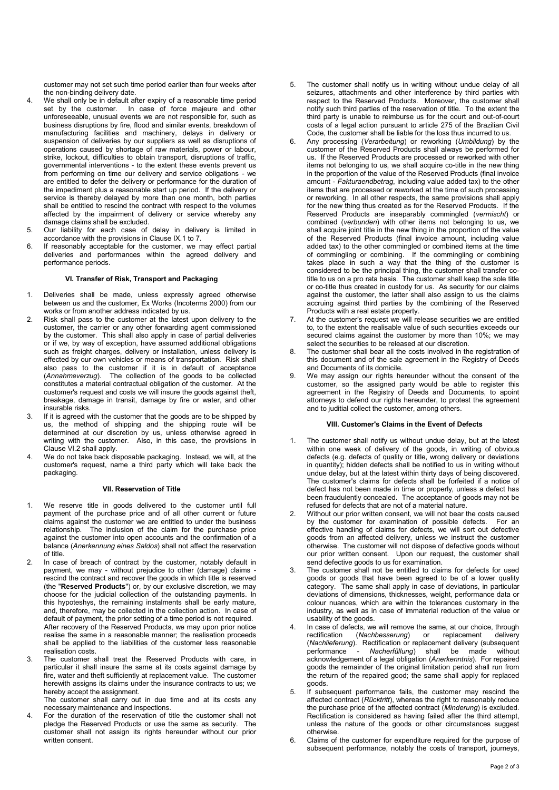customer may not set such time period earlier than four weeks after the non-binding delivery date.

- 4. We shall only be in default after expiry of a reasonable time period set by the customer. In case of force majeure and other unforeseeable, unusual events we are not responsible for, such as business disruptions by fire, flood and similar events, breakdown of manufacturing facilities and machinery, delays in delivery or suspension of deliveries by our suppliers as well as disruptions of operations caused by shortage of raw materials, power or labour, strike, lockout, difficulties to obtain transport, disruptions of traffic, governmental interventions - to the extent these events prevent us from performing on time our delivery and service obligations - we are entitled to defer the delivery or performance for the duration of the impediment plus a reasonable start up period. If the delivery or service is thereby delayed by more than one month, both parties shall be entitled to rescind the contract with respect to the volumes affected by the impairment of delivery or service whereby any damage claims shall be excluded.
- 5. Our liability for each case of delay in delivery is limited in accordance with the provisions in Clause IX.1 to 7.
- 6. If reasonably acceptable for the customer, we may effect partial deliveries and performances within the agreed delivery and performance periods.

# **VI. Transfer of Risk, Transport and Packaging**

- 1. Deliveries shall be made, unless expressly agreed otherwise between us and the customer, Ex Works (Incoterms 2000) from our works or from another address indicated by us.
- 2. Risk shall pass to the customer at the latest upon delivery to the customer, the carrier or any other forwarding agent commissioned by the customer. This shall also apply in case of partial deliveries or if we, by way of exception, have assumed additional obligations such as freight charges, delivery or installation, unless delivery is effected by our own vehicles or means of transportation. Risk shall also pass to the customer if it is in default of acceptance (*Annahmeverzug*). The collection of the goods to be collected constitutes a material contractual obligation of the customer. At the customer's request and costs we will insure the goods against theft, breakage, damage in transit, damage by fire or water, and other insurable risks.
- If it is agreed with the customer that the goods are to be shipped by us, the method of shipping and the shipping route will be determined at our discretion by us, unless otherwise agreed in writing with the customer. Also, in this case, the provisions in Clause VI.2 shall apply.
- 4. We do not take back disposable packaging. Instead, we will, at the customer's request, name a third party which will take back the packaging.

#### **VII. Reservation of Title**

- 1. We reserve title in goods delivered to the customer until full payment of the purchase price and of all other current or future claims against the customer we are entitled to under the business relationship. The inclusion of the claim for the purchase price against the customer into open accounts and the confirmation of a balance (*Anerkennung eines Saldos*) shall not affect the reservation of title.
- 2. In case of breach of contract by the customer, notably default in payment, we may - without prejudice to other (damage) claims rescind the contract and recover the goods in which title is reserved (the "**Reserved Products**") or, by our exclusive discretion, we may choose for the judicial collection of the outstanding payments. In this hypoteshys, the remaining instalments shall be early mature, and, therefore, may be collected in the collection action. In case of default of payment, the prior setting of a time period is not required. After recovery of the Reserved Products, we may upon prior notice realise the same in a reasonable manner; the realisation proceeds shall be applied to the liabilities of the customer less reasonable realisation costs.
- 3. The customer shall treat the Reserved Products with care, in particular it shall insure the same at its costs against damage by fire, water and theft sufficiently at replacement value. The customer herewith assigns its claims under the insurance contracts to us; we hereby accept the assignment.

The customer shall carry out in due time and at its costs any necessary maintenance and inspections.

4. For the duration of the reservation of title the customer shall not pledge the Reserved Products or use the same as security. The customer shall not assign its rights hereunder without our prior written consent.

- 5. The customer shall notify us in writing without undue delay of all seizures, attachments and other interference by third parties with respect to the Reserved Products. Moreover, the customer shall notify such third parties of the reservation of title. To the extent the third party is unable to reimburse us for the court and out-of-court costs of a legal action pursuant to article 275 of the Brazilian Civil Code, the customer shall be liable for the loss thus incurred to us.
- 6. Any processing (*Verarbeitung*) or reworking (*Umbildung*) by the customer of the Reserved Products shall always be performed for us. If the Reserved Products are processed or reworked with other items not belonging to us, we shall acquire co-title in the new thing in the proportion of the value of the Reserved Products (final invoice amount - *Fakturaendbetrag*, including value added tax) to the other items that are processed or reworked at the time of such processing or reworking. In all other respects, the same provisions shall apply for the new thing thus created as for the Reserved Products. If the Reserved Products are inseparably commingled (*vermischt*) or combined (*verbunden*) with other items not belonging to us, we shall acquire joint title in the new thing in the proportion of the value of the Reserved Products (final invoice amount, including value added tax) to the other commingled or combined items at the time of commingling or combining. If the commingling or combining takes place in such a way that the thing of the customer is considered to be the principal thing, the customer shall transfer cotitle to us on a pro rata basis. The customer shall keep the sole title or co-title thus created in custody for us. As security for our claims against the customer, the latter shall also assign to us the claims accruing against third parties by the combining of the Reserved Products with a real estate property.
- 7. At the customer's request we will release securities we are entitled to, to the extent the realisable value of such securities exceeds our secured claims against the customer by more than 10%; we may select the securities to be released at our discretion.
- 8. The customer shall bear all the costs involved in the registration of this document and of the sale agreement in the Registry of Deeds and Documents of its domicile.
- 9. We may assign our rights hereunder without the consent of the customer, so the assigned party would be able to register this agreement in the Registry of Deeds and Documents, to apoint attorneys to defend our rights hereunder, to protest the agreement and to juditial collect the customer, among others.

# **VIII. Customer's Claims in the Event of Defects**

- 1. The customer shall notify us without undue delay, but at the latest within one week of delivery of the goods, in writing of obvious defects (e.g. defects of quality or title, wrong delivery or deviations in quantity); hidden defects shall be notified to us in writing without undue delay, but at the latest within thirty days of being discovered. The customer's claims for defects shall be forfeited if a notice of defect has not been made in time or properly, unless a defect has been fraudulently concealed. The acceptance of goods may not be refused for defects that are not of a material nature.
- Without our prior written consent, we will not bear the costs caused by the customer for examination of possible defects. For an effective handling of claims for defects, we will sort out defective goods from an affected delivery, unless we instruct the customer otherwise. The customer will not dispose of defective goods without our prior written consent. Upon our request, the customer shall send defective goods to us for examination.
- 3. The customer shall not be entitled to claims for defects for used goods or goods that have been agreed to be of a lower quality category. The same shall apply in case of deviations, in particular deviations of dimensions, thicknesses, weight, performance data or colour nuances, which are within the tolerances customary in the industry, as well as in case of immaterial reduction of the value or usability of the goods.
- In case of defects, we will remove the same, at our choice, through<br>rectification (Nachbesserung) or replacement delivery (*Nachbesserung*) or replacement (*Nachlieferung*). Rectification or replacement delivery (subsequent performance - *Nacherfüllung*) shall be made without acknowledgement of a legal obligation (*Anerkenntnis*). For repaired goods the remainder of the original limitation period shall run from the return of the repaired good; the same shall apply for replaced goods.
- 5. If subsequent performance fails, the customer may rescind the affected contract (*Rücktritt*), whereas the right to reasonably reduce the purchase price of the affected contract (*Minderung*) is excluded. Rectification is considered as having failed after the third attempt, unless the nature of the goods or other circumstances suggest otherwise.
- 6. Claims of the customer for expenditure required for the purpose of subsequent performance, notably the costs of transport, journeys,